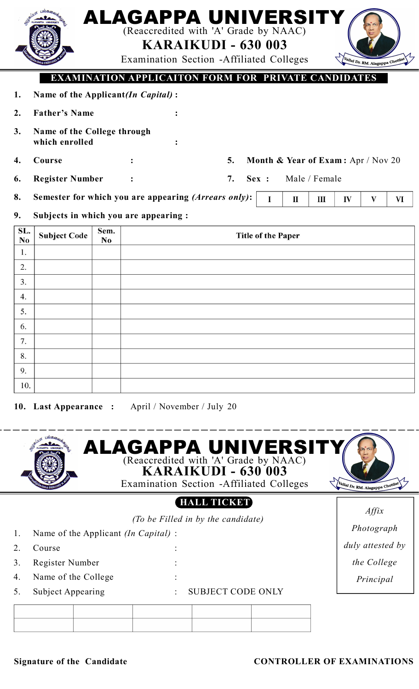|                       | பலக <sub>ை</sub><br>illin                     |                        | ALAGAPPA UNIVERSITY<br>(Reaccredited with 'A' Grade by NAAC)<br>Examination Section - Affiliated Colleges | <b>KARAIKUDI - 630 003</b> |                                    |              |               |    | Vallal Dr. RM. Alagappa Chettian |    |
|-----------------------|-----------------------------------------------|------------------------|-----------------------------------------------------------------------------------------------------------|----------------------------|------------------------------------|--------------|---------------|----|----------------------------------|----|
|                       |                                               |                        | EXAMINATION APPLICAITON FORM FOR PRIVATE CANDIDATES                                                       |                            |                                    |              |               |    |                                  |    |
| 1.                    | Name of the Applicant(In Capital):            |                        |                                                                                                           |                            |                                    |              |               |    |                                  |    |
| 2.                    | <b>Father's Name</b>                          |                        |                                                                                                           |                            |                                    |              |               |    |                                  |    |
| 3.                    | Name of the College through<br>which enrolled |                        |                                                                                                           |                            |                                    |              |               |    |                                  |    |
| 4.                    | Course                                        |                        |                                                                                                           | 5.                         | Month & Year of Exam: Apr / Nov 20 |              |               |    |                                  |    |
| 6.                    | <b>Register Number</b>                        |                        |                                                                                                           | 7.                         | Sex:                               |              | Male / Female |    |                                  |    |
| 8.                    |                                               |                        | Semester for which you are appearing (Arrears only):                                                      |                            | I                                  | $\mathbf{I}$ | Ш             | IV | V                                | VI |
| 9.                    |                                               |                        | Subjects in which you are appearing :                                                                     |                            |                                    |              |               |    |                                  |    |
| SL.<br>N <sub>0</sub> | <b>Subject Code</b>                           | Sem.<br>N <sub>0</sub> |                                                                                                           |                            | <b>Title of the Paper</b>          |              |               |    |                                  |    |
| 1.                    |                                               |                        |                                                                                                           |                            |                                    |              |               |    |                                  |    |
| 2.                    |                                               |                        |                                                                                                           |                            |                                    |              |               |    |                                  |    |
| 3.                    |                                               |                        |                                                                                                           |                            |                                    |              |               |    |                                  |    |
| 4.                    |                                               |                        |                                                                                                           |                            |                                    |              |               |    |                                  |    |
| 5.                    |                                               |                        |                                                                                                           |                            |                                    |              |               |    |                                  |    |

| $\cup$ . |  |  |
|----------|--|--|
| 6.       |  |  |
|          |  |  |
| ົ        |  |  |
| 9.       |  |  |
| 10       |  |  |

**10. Last Appearance :** April / November / July 20



|    |                                             |                          | $\Delta$ // $\mu$ |  |                  |  |
|----|---------------------------------------------|--------------------------|-------------------|--|------------------|--|
| 1. | Name of the Applicant <i>(In Capital)</i> : | Photograph               |                   |  |                  |  |
|    | Course                                      |                          |                   |  | duly attested by |  |
|    | Register Number                             |                          |                   |  | the College      |  |
| 4. | Name of the College                         |                          |                   |  | Principal        |  |
|    | <b>Subject Appearing</b>                    | <b>SUBJECT CODE ONLY</b> |                   |  |                  |  |
|    |                                             |                          |                   |  |                  |  |
|    |                                             |                          |                   |  |                  |  |